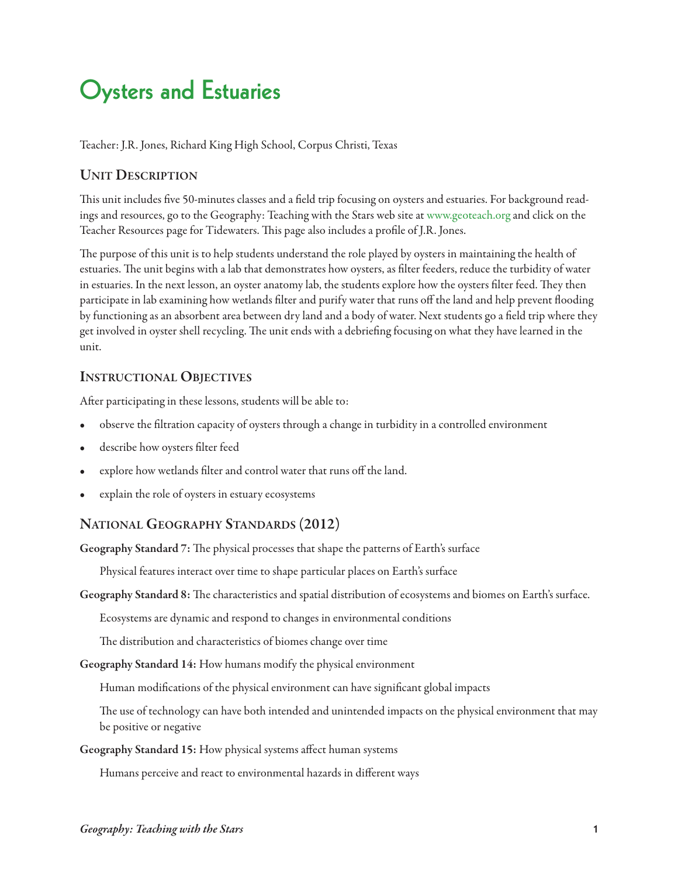# **Oysters and Estuaries**

Teacher: J.R. Jones, Richard King High School, Corpus Christi, Texas

### **Unit Description**

This unit includes five 50-minutes classes and a field trip focusing on oysters and estuaries. For background readings and resources, go to the Geography: Teaching with the Stars web site at [www.geoteach.org](http://geoteach.org) and click on the Teacher Resources page for Tidewaters. This page also includes a profile of J.R. Jones.

The purpose of this unit is to help students understand the role played by oysters in maintaining the health of estuaries. The unit begins with a lab that demonstrates how oysters, as filter feeders, reduce the turbidity of water in estuaries. In the next lesson, an oyster anatomy lab, the students explore how the oysters filter feed. They then participate in lab examining how wetlands filter and purify water that runs off the land and help prevent flooding by functioning as an absorbent area between dry land and a body of water. Next students go a field trip where they get involved in oyster shell recycling. The unit ends with a debriefing focusing on what they have learned in the unit.

### **INSTRUCTIONAL OBJECTIVES**

After participating in these lessons, students will be able to:

- observe the filtration capacity of oysters through a change in turbidity in a controlled environment
- describe how oysters filter feed
- explore how wetlands filter and control water that runs off the land.
- explain the role of oysters in estuary ecosystems

## **national GeoGraphy stanDarDs (2012)**

Geography Standard 7: The physical processes that shape the patterns of Earth's surface

Physical features interact over time to shape particular places on Earth's surface

Geography Standard 8: The characteristics and spatial distribution of ecosystems and biomes on Earth's surface.

Ecosystems are dynamic and respond to changes in environmental conditions

The distribution and characteristics of biomes change over time

**Geography standard 14:** How humans modify the physical environment

Human modifications of the physical environment can have significant global impacts

The use of technology can have both intended and unintended impacts on the physical environment that may be positive or negative

**Geography standard 15:** How physical systems affect human systems

Humans perceive and react to environmental hazards in different ways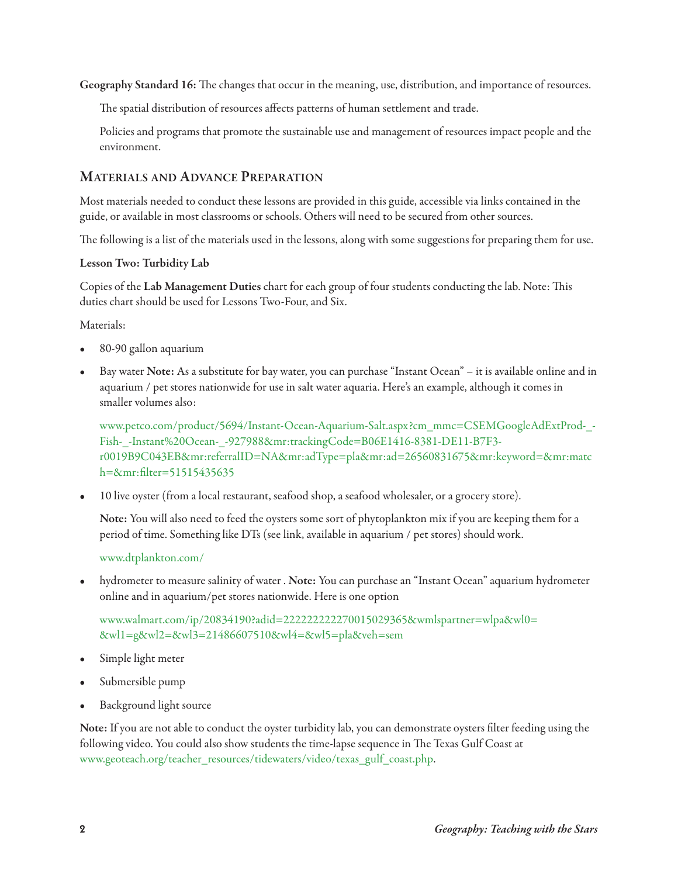Geography Standard 16: The changes that occur in the meaning, use, distribution, and importance of resources.

The spatial distribution of resources affects patterns of human settlement and trade.

Policies and programs that promote the sustainable use and management of resources impact people and the environment.

### **Materials anD aDvance preparation**

Most materials needed to conduct these lessons are provided in this guide, accessible via links contained in the guide, or available in most classrooms or schools. Others will need to be secured from other sources.

The following is a list of the materials used in the lessons, along with some suggestions for preparing them for use.

#### **lesson two: turbidity lab**

Copies of the Lab Management Duties chart for each group of four students conducting the lab. Note: This duties chart should be used for Lessons Two-Four, and Six.

Materials:

- 80-90 gallon aquarium
- Bay water **note:** As a substitute for bay water, you can purchase "Instant Ocean" it is available online and in aquarium / pet stores nationwide for use in salt water aquaria. Here's an example, although it comes in smaller volumes also:

[www.petco.com/product/5694/Instant-Ocean-Aquarium-Salt.aspx?cm\\_mmc=CSEMGoogleAdExtProd-\\_-](http://www.petco.com/product/5694/Instant-Ocean-Aquarium-Salt.aspx?cm_mmc=CSEMGoogleAdExtProd-_-Fish-_-Instant%20Ocean-_-927988&mr:trackingCode=B06E1416-8381-DE11-B7F3-r0019B9C043EB&mr:referralID=NA&mr:adType=pla&mr:ad=26560831675&mr:keyword=&mr:mat) [Fish-\\_-Instant%20Ocean-\\_-927988&mr:trackingCode=B06E1416-8381-DE11-B7F3](http://www.petco.com/product/5694/Instant-Ocean-Aquarium-Salt.aspx?cm_mmc=CSEMGoogleAdExtProd-_-Fish-_-Instant%20Ocean-_-927988&mr:trackingCode=B06E1416-8381-DE11-B7F3-r0019B9C043EB&mr:referralID=NA&mr:adType=pla&mr:ad=26560831675&mr:keyword=&mr:mat) [r0019B9C043EB&mr:referralID=NA&mr:adType=pla&mr:ad=26560831675&mr:keyword=&mr:matc](http://www.petco.com/product/5694/Instant-Ocean-Aquarium-Salt.aspx?cm_mmc=CSEMGoogleAdExtProd-_-Fish-_-Instant%20Ocean-_-927988&mr:trackingCode=B06E1416-8381-DE11-B7F3-r0019B9C043EB&mr:referralID=NA&mr:adType=pla&mr:ad=26560831675&mr:keyword=&mr:mat) [h=&mr:filter=51515435635](http://www.petco.com/product/5694/Instant-Ocean-Aquarium-Salt.aspx?cm_mmc=CSEMGoogleAdExtProd-_-Fish-_-Instant%20Ocean-_-927988&mr:trackingCode=B06E1416-8381-DE11-B7F3-r0019B9C043EB&mr:referralID=NA&mr:adType=pla&mr:ad=26560831675&mr:keyword=&mr:mat)

• 10 live oyster (from a local restaurant, seafood shop, a seafood wholesaler, or a grocery store).

**note:** You will also need to feed the oysters some sort of phytoplankton mix if you are keeping them for a period of time. Something like DTs (see link, available in aquarium / pet stores) should work.

#### [www.dtplankton.com/](http://www.dtplankton.com/)

• hydrometer to measure salinity of water . **note:** You can purchase an "Instant Ocean" aquarium hydrometer online and in aquarium/pet stores nationwide. Here is one option

[www.walmart.com/ip/20834190?adid=222222222270015029365&wmlspartner=wlpa&wl0=](http://www.walmart.com/ip/20834190?adid=222222222270015029365&wmlspartner=wlpa&wl0=&wl1=g&wl2=&wl3=21486607510&wl4=&wl5=pla&veh=sem) [&wl1=g&wl2=&wl3=21486607510&wl4=&wl5=pla&veh=sem](http://www.walmart.com/ip/20834190?adid=222222222270015029365&wmlspartner=wlpa&wl0=&wl1=g&wl2=&wl3=21486607510&wl4=&wl5=pla&veh=sem)

- Simple light meter
- Submersible pump
- Background light source

**note:** If you are not able to conduct the oyster turbidity lab, you can demonstrate oysters filter feeding using the following video. You could also show students the time-lapse sequence in The Texas Gulf Coast at [www.geoteach.org/teacher\\_resources/tidewaters/video/texas\\_gulf\\_coast.php.](http://www.geoteach.org/teacher_resources/tidewaters/video/texas_gulf_coast.php)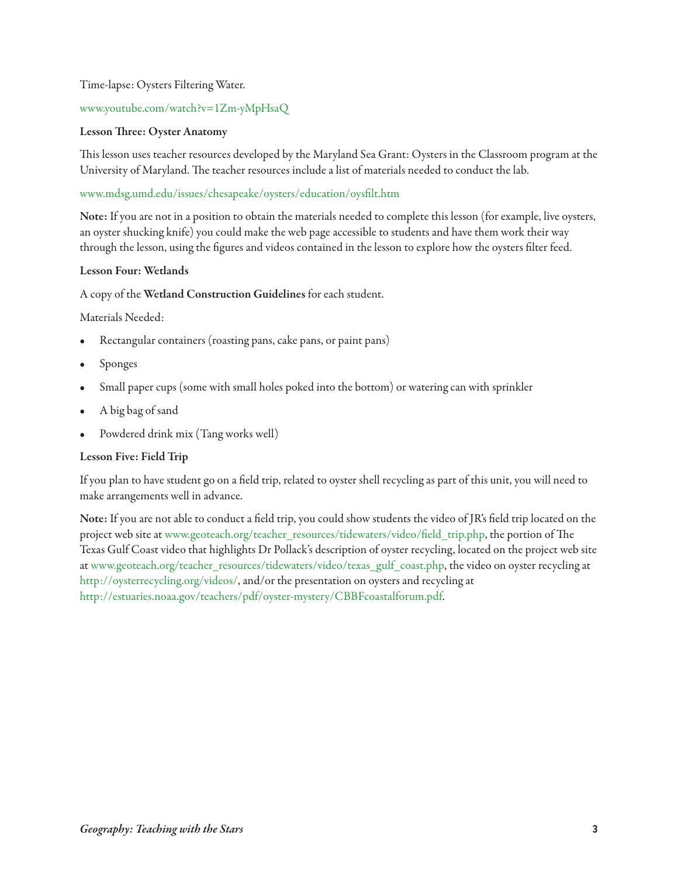#### Time-lapse: Oysters Filtering Water.

#### [www.youtube.com/watch?v=1Zm-yMpHsaQ](http://www.youtube.com/watch?v=1Zm-yMpHsaQ)

#### **Lesson Three: Oyster Anatomy**

This lesson uses teacher resources developed by the Maryland Sea Grant: Oysters in the Classroom program at the University of Maryland. The teacher resources include a list of materials needed to conduct the lab.

#### [www.mdsg.umd.edu/issues/chesapeake/oysters/education/oysfilt.htm](http://www.mdsg.umd.edu/issues/chesapeake/oysters/education/oysfilt.htm)

**note:** If you are not in a position to obtain the materials needed to complete this lesson (for example, live oysters, an oyster shucking knife) you could make the web page accessible to students and have them work their way through the lesson, using the figures and videos contained in the lesson to explore how the oysters filter feed.

#### **lesson Four: Wetlands**

#### A copy of the **Wetland construction Guidelines** for each student.

Materials Needed:

- Rectangular containers (roasting pans, cake pans, or paint pans)
- Sponges
- Small paper cups (some with small holes poked into the bottom) or watering can with sprinkler
- A big bag of sand
- Powdered drink mix (Tang works well)

#### **lesson Five: Field trip**

If you plan to have student go on a field trip, related to oyster shell recycling as part of this unit, you will need to make arrangements well in advance.

**note:** If you are not able to conduct a field trip, you could show students the video of JR's field trip located on the project web site at [www.geoteach.org/teacher\\_resources/tidewaters/video/field\\_trip.php,](http://www.geoteach.org/teacher_resources/tidewaters/video/field_trip.php) the portion of The Texas Gulf Coast video that highlights Dr Pollack's description of oyster recycling, located on the project web site at [www.geoteach.org/teacher\\_resources/tidewaters/video/texas\\_gulf\\_coast.php,](http://www.geoteach.org/teacher_resources/tidewaters/video/texas_gulf_coast.php) the video on oyster recycling at [http://oysterrecycling.org/videos/,](http://oysterrecycling.org/videos/) and/or the presentation on oysters and recycling at [http://estuaries.noaa.gov/teachers/pdf/oyster-mystery/CBBFcoastalforum.pdf.](http://estuaries.noaa.gov/teachers/pdf/oyster-mystery/CBBFcoastalforum.pdf)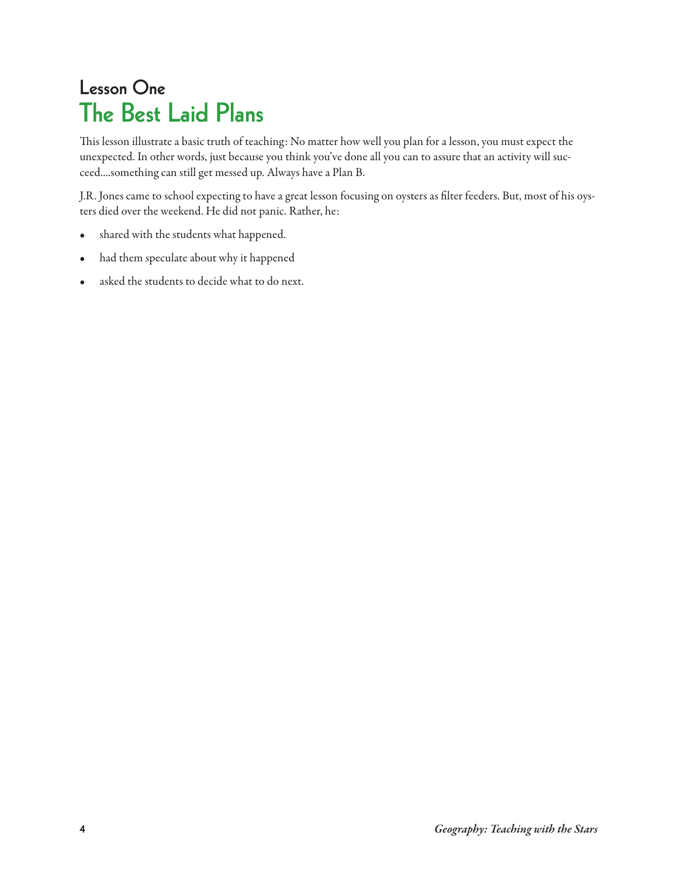## **Lesson One The Best Laid Plans**

This lesson illustrate a basic truth of teaching: No matter how well you plan for a lesson, you must expect the unexpected. In other words, just because you think you've done all you can to assure that an activity will succeed....something can still get messed up. Always have a Plan B.

J.R. Jones came to school expecting to have a great lesson focusing on oysters as filter feeders. But, most of his oysters died over the weekend. He did not panic. Rather, he:

- shared with the students what happened.
- had them speculate about why it happened
- asked the students to decide what to do next.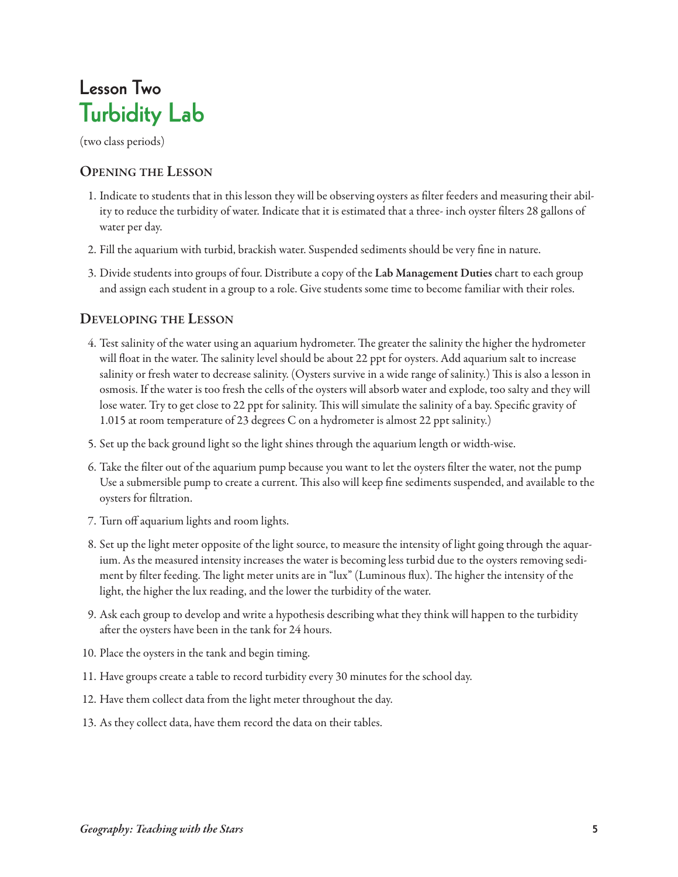## **Lesson Two Turbidity Lab**

(two class periods)

### **openinG the lesson**

- 1. Indicate to students that in this lesson they will be observing oysters as filter feeders and measuring their ability to reduce the turbidity of water. Indicate that it is estimated that a three- inch oyster filters 28 gallons of water per day.
- 2. Fill the aquarium with turbid, brackish water. Suspended sediments should be very fine in nature.
- 3. Divide students into groups of four. Distribute a copy of the **lab Management Duties** chart to each group and assign each student in a group to a role. Give students some time to become familiar with their roles.

## **DevelopinG the lesson**

- 4. Test salinity of the water using an aquarium hydrometer. The greater the salinity the higher the hydrometer will float in the water. The salinity level should be about 22 ppt for oysters. Add aquarium salt to increase salinity or fresh water to decrease salinity. (Oysters survive in a wide range of salinity.) This is also a lesson in osmosis. If the water is too fresh the cells of the oysters will absorb water and explode, too salty and they will lose water. Try to get close to 22 ppt for salinity. This will simulate the salinity of a bay. Specific gravity of 1.015 at room temperature of 23 degrees C on a hydrometer is almost 22 ppt salinity.)
- 5. Set up the back ground light so the light shines through the aquarium length or width-wise.
- 6. Take the filter out of the aquarium pump because you want to let the oysters filter the water, not the pump Use a submersible pump to create a current. This also will keep fine sediments suspended, and available to the oysters for filtration.
- 7. Turn off aquarium lights and room lights.
- 8. Set up the light meter opposite of the light source, to measure the intensity of light going through the aquarium. As the measured intensity increases the water is becoming less turbid due to the oysters removing sediment by filter feeding. The light meter units are in "lux" (Luminous flux). The higher the intensity of the light, the higher the lux reading, and the lower the turbidity of the water.
- 9. Ask each group to develop and write a hypothesis describing what they think will happen to the turbidity after the oysters have been in the tank for 24 hours.
- 10. Place the oysters in the tank and begin timing.
- 11. Have groups create a table to record turbidity every 30 minutes for the school day.
- 12. Have them collect data from the light meter throughout the day.
- 13. As they collect data, have them record the data on their tables.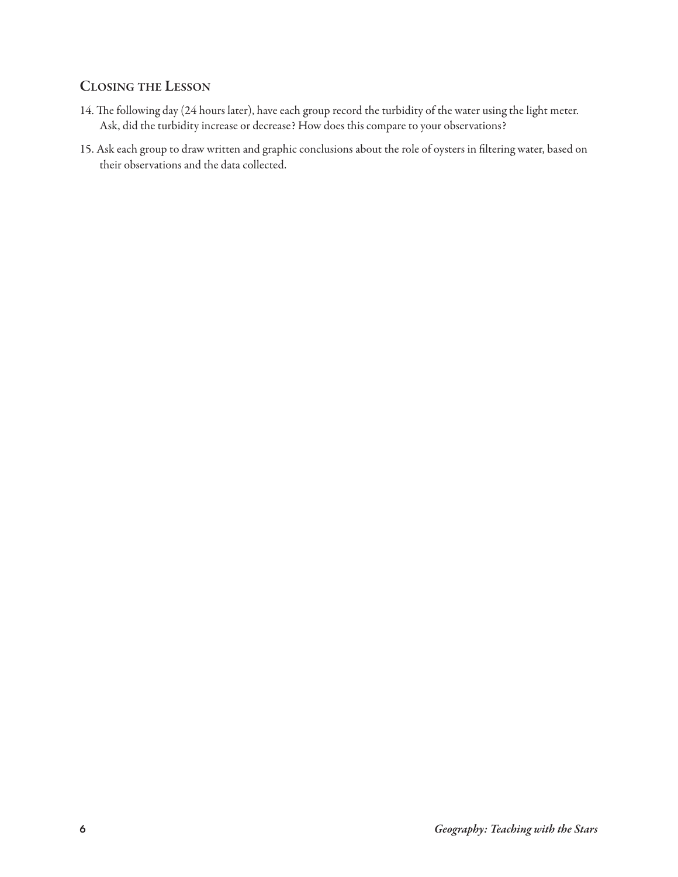## **closinG the lesson**

- 14. The following day (24 hours later), have each group record the turbidity of the water using the light meter. Ask, did the turbidity increase or decrease? How does this compare to your observations?
- 15. Ask each group to draw written and graphic conclusions about the role of oysters in filtering water, based on their observations and the data collected.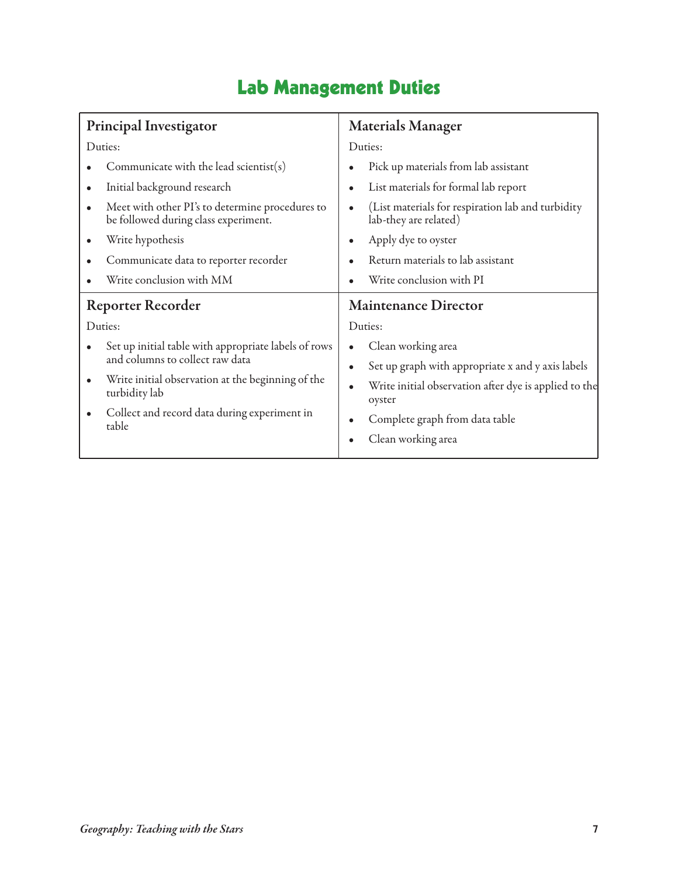## **Lab Management Duties**

| <b>Principal Investigator</b>                                                                                                                                                                                               | <b>Materials Manager</b>                                                                                                                                                                                        |
|-----------------------------------------------------------------------------------------------------------------------------------------------------------------------------------------------------------------------------|-----------------------------------------------------------------------------------------------------------------------------------------------------------------------------------------------------------------|
| Duties:                                                                                                                                                                                                                     | Duties:                                                                                                                                                                                                         |
| Communicate with the lead scientist(s)<br>Initial background research<br>$\bullet$<br>Meet with other PI's to determine procedures to<br>$\bullet$<br>be followed during class experiment.                                  | Pick up materials from lab assistant<br>List materials for formal lab report<br>$\bullet$<br>(List materials for respiration lab and turbidity<br>lab-they are related)                                         |
| Write hypothesis<br>$\bullet$<br>Communicate data to reporter recorder<br>Write conclusion with MM                                                                                                                          | Apply dye to oyster<br>Return materials to lab assistant<br>Write conclusion with PI                                                                                                                            |
| <b>Reporter Recorder</b><br>Duties:                                                                                                                                                                                         | <b>Maintenance Director</b><br>Duties:                                                                                                                                                                          |
| Set up initial table with appropriate labels of rows<br>and columns to collect raw data<br>Write initial observation at the beginning of the<br>٠<br>turbidity lab<br>Collect and record data during experiment in<br>table | Clean working area<br>$\bullet$<br>Set up graph with appropriate x and y axis labels<br>Write initial observation after dye is applied to the<br>oyster<br>Complete graph from data table<br>Clean working area |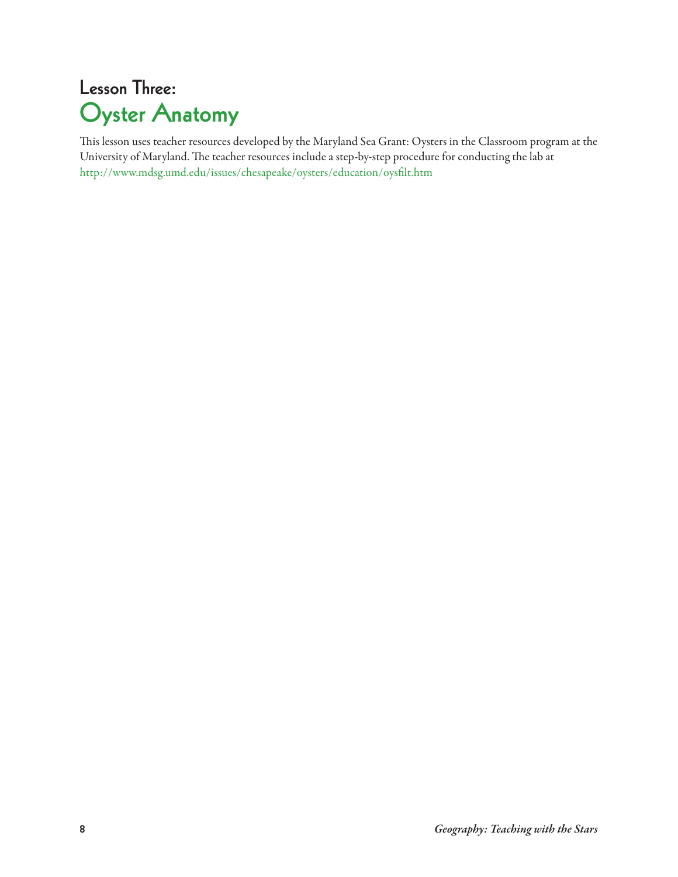## **Lesson Three: Oyster Anatomy**

This lesson uses teacher resources developed by the Maryland Sea Grant: Oysters in the Classroom program at the University of Maryland. The teacher resources include a step-by-step procedure for conducting the lab at <http://www.mdsg.umd.edu/issues/chesapeake/oysters/education/oysfilt.htm>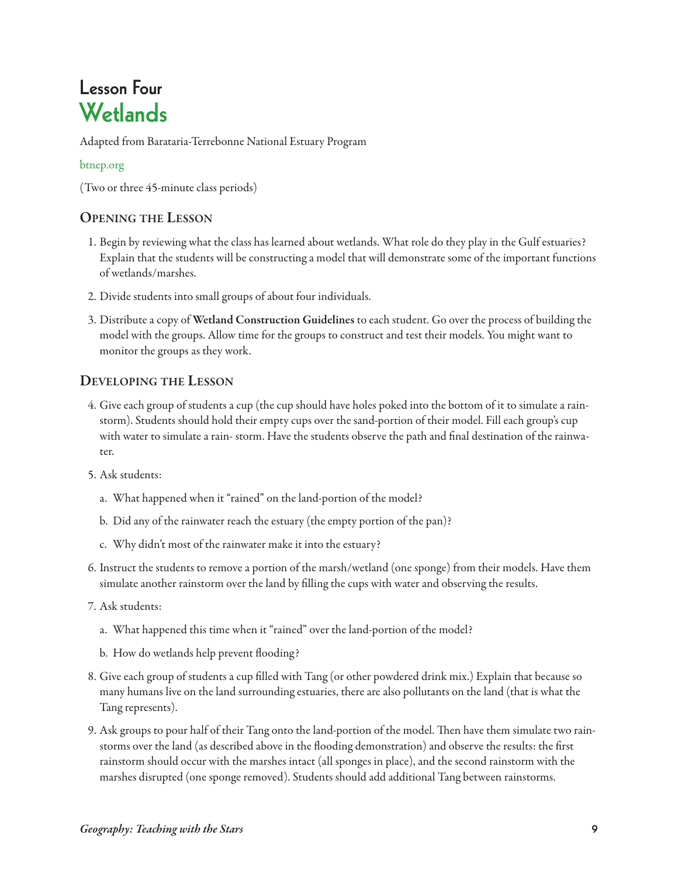## **Lesson Four Wetlands**

Adapted from Barataria-Terrebonne National Estuary Program

### [btnep.org](http://btnep.org)

(Two or three 45-minute class periods)

### **openinG the lesson**

- 1. Begin by reviewing what the class has learned about wetlands. What role do they play in the Gulf estuaries? Explain that the students will be constructing a model that will demonstrate some of the important functions of wetlands/marshes.
- 2. Divide students into small groups of about four individuals.
- 3. Distribute a copy of **Wetland construction Guidelines** to each student. Go over the process of building the model with the groups. Allow time for the groups to construct and test their models. You might want to monitor the groups as they work.

### **DevelopinG the lesson**

- 4. Give each group of students a cup (the cup should have holes poked into the bottom of it to simulate a rainstorm). Students should hold their empty cups over the sand-portion of their model. Fill each group's cup with water to simulate a rain- storm. Have the students observe the path and final destination of the rainwater.
- 5. Ask students:
	- a. What happened when it "rained" on the land-portion of the model?
	- b. Did any of the rainwater reach the estuary (the empty portion of the pan)?
	- c. Why didn't most of the rainwater make it into the estuary?
- 6. Instruct the students to remove a portion of the marsh/wetland (one sponge) from their models. Have them simulate another rainstorm over the land by filling the cups with water and observing the results.
- 7. Ask students:
	- a. What happened this time when it "rained" over the land-portion of the model?
	- b. How do wetlands help prevent flooding?
- 8. Give each group of students a cup filled with Tang (or other powdered drink mix.) Explain that because so many humans live on the land surrounding estuaries, there are also pollutants on the land (that is what the Tang represents).
- 9. Ask groups to pour half of their Tang onto the land-portion of the model. Then have them simulate two rainstorms over the land (as described above in the flooding demonstration) and observe the results: the first rainstorm should occur with the marshes intact (all sponges in place), and the second rainstorm with the marshes disrupted (one sponge removed). Students should add additional Tang between rainstorms.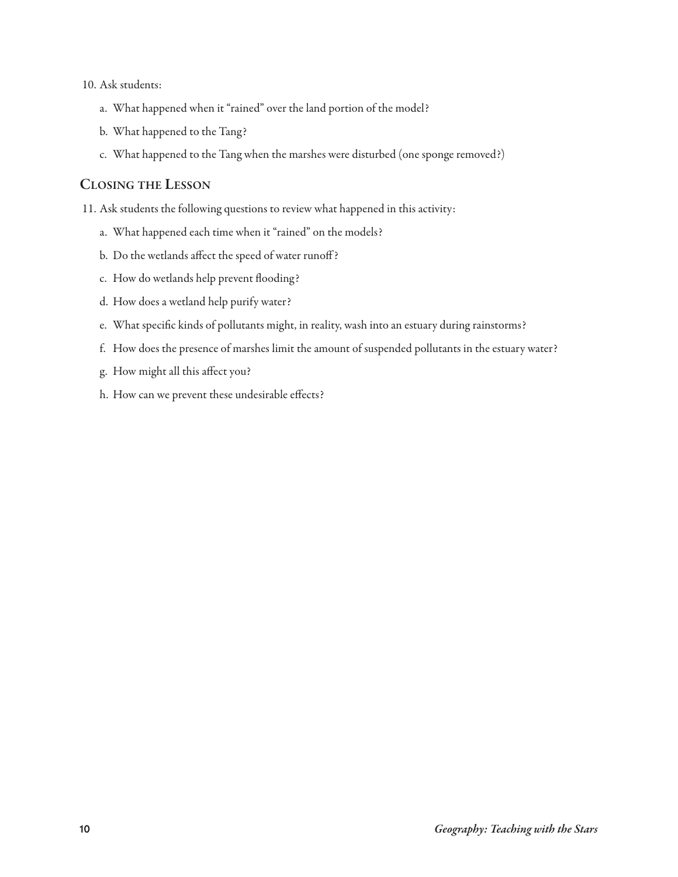#### 10. Ask students:

- a. What happened when it "rained" over the land portion of the model?
- b. What happened to the Tang?
- c. What happened to the Tang when the marshes were disturbed (one sponge removed?)

#### **closinG the lesson**

11. Ask students the following questions to review what happened in this activity:

- a. What happened each time when it "rained" on the models?
- b. Do the wetlands affect the speed of water runoff?
- c. How do wetlands help prevent flooding?
- d. How does a wetland help purify water?
- e. What specific kinds of pollutants might, in reality, wash into an estuary during rainstorms?
- f. How does the presence of marshes limit the amount of suspended pollutants in the estuary water?
- g. How might all this affect you?
- h. How can we prevent these undesirable effects?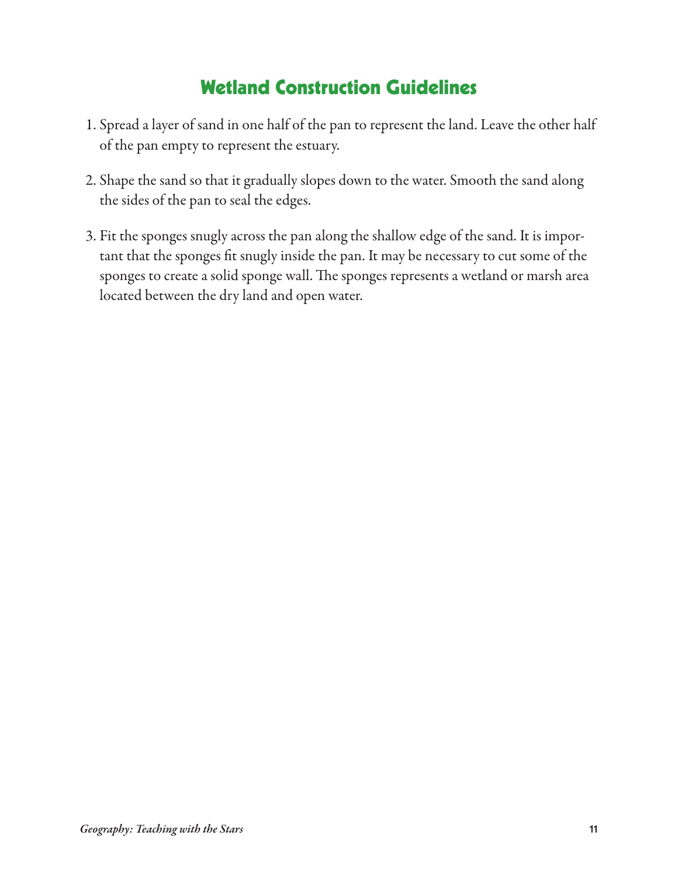## **Wetland Construction Guidelines**

- 1. Spread a layer of sand in one half of the pan to represent the land. Leave the other half of the pan empty to represent the estuary.
- 2. Shape the sand so that it gradually slopes down to the water. Smooth the sand along the sides of the pan to seal the edges.
- 3. Fit the sponges snugly across the pan along the shallow edge of the sand. It is important that the sponges fit snugly inside the pan. It may be necessary to cut some of the sponges to create a solid sponge wall. The sponges represents a wetland or marsh area located between the dry land and open water.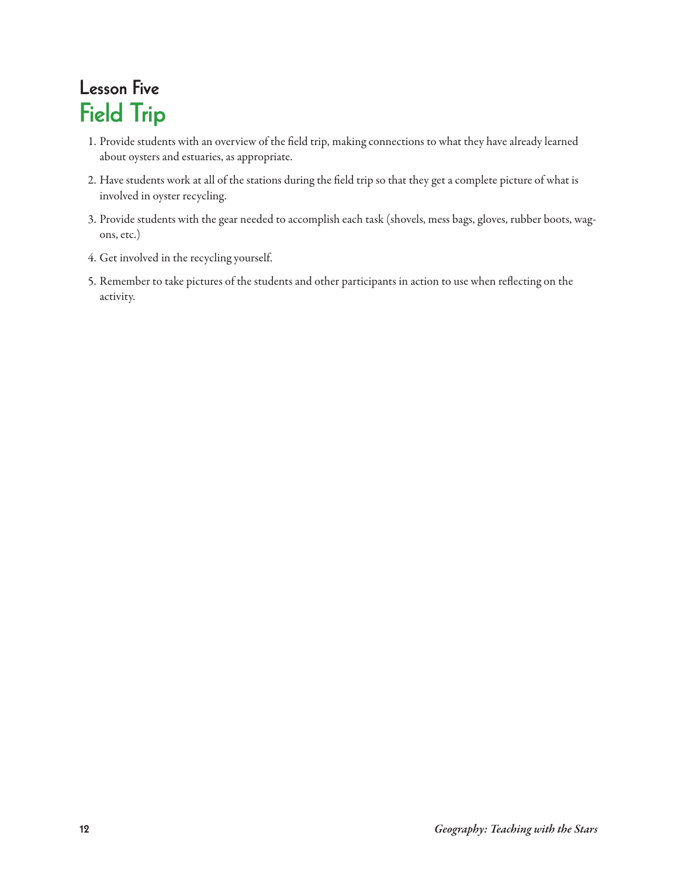## **Lesson Five Field Trip**

- 1. Provide students with an overview of the field trip, making connections to what they have already learned about oysters and estuaries, as appropriate.
- 2. Have students work at all of the stations during the field trip so that they get a complete picture of what is involved in oyster recycling.
- 3. Provide students with the gear needed to accomplish each task (shovels, mess bags, gloves, rubber boots, wagons, etc.)
- 4. Get involved in the recycling yourself.
- 5. Remember to take pictures of the students and other participants in action to use when reflecting on the activity.